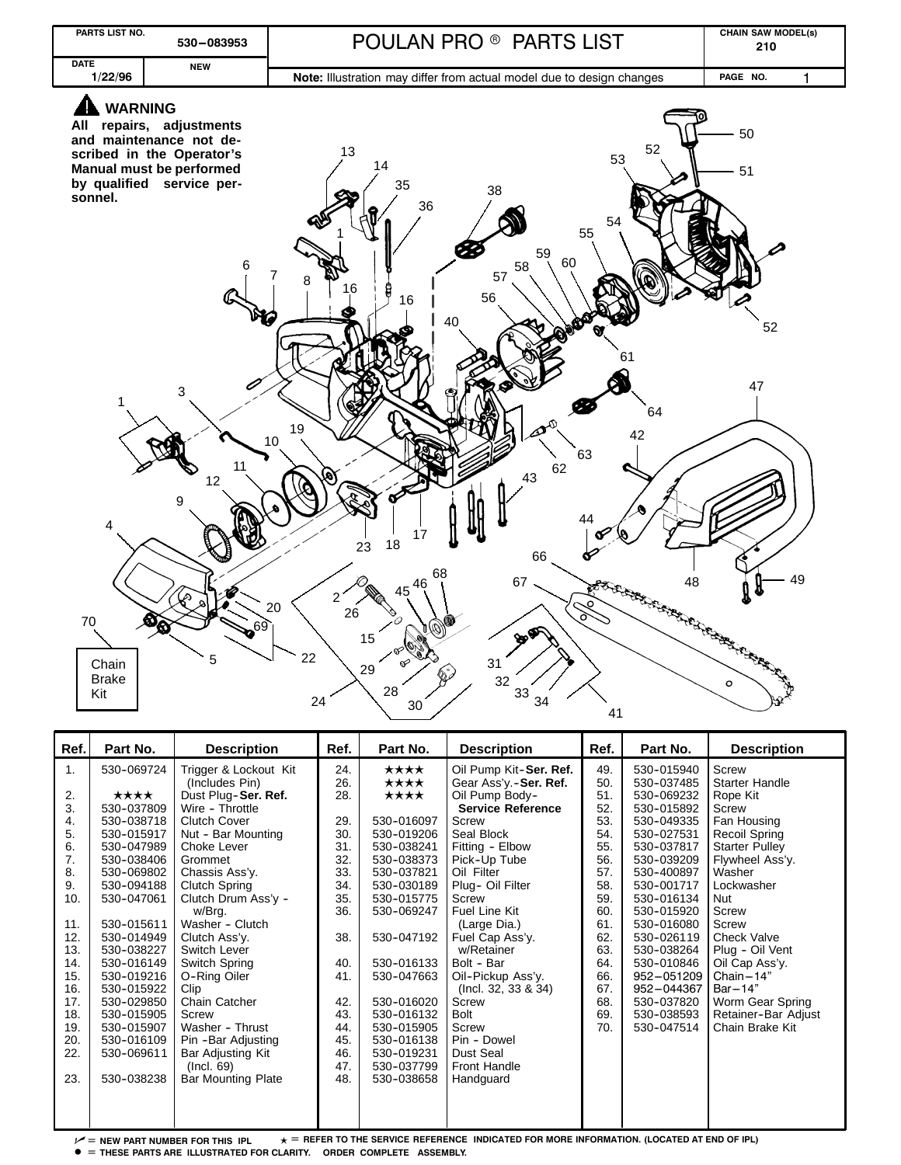

| Ref. | Part No.   | <b>Description</b>        | Ref. | Part No.   | <b>Description</b>       | Ref. | Part No.   | <b>Description</b>    |
|------|------------|---------------------------|------|------------|--------------------------|------|------------|-----------------------|
| 1.   | 530-069724 | Trigger & Lockout Kit     | 24.  | ****       | Oil Pump Kit-Ser. Ref.   | 49.  | 530-015940 | Screw                 |
|      |            | (Includes Pin)            | 26.  | ★★★★       | Gear Ass'y.-Ser. Ref.    | 50.  | 530-037485 | <b>Starter Handle</b> |
| 2.   | ★★★★       | Dust Plug-Ser. Ref.       | 28.  | ★★★★       | Oil Pump Body-           | 51.  | 530-069232 | Rope Kit              |
| 3.   | 530-037809 | Wire - Throttle           |      |            | <b>Service Reference</b> | 52.  | 530-015892 | Screw                 |
| 4.   | 530-038718 | Clutch Cover              | 29.  | 530-016097 | Screw                    | 53.  | 530-049335 | Fan Housing           |
| 5.   | 530-015917 | Nut - Bar Mounting        | 30.  | 530-019206 | Seal Block               | 54.  | 530-027531 | <b>Recoil Spring</b>  |
| 6.   | 530-047989 | Choke Lever               | 31.  | 530-038241 | Fitting - Elbow          | 55.  | 530-037817 | <b>Starter Pulley</b> |
| 7.   | 530-038406 | Grommet                   | 32.  | 530-038373 | Pick-Up Tube             | 56.  | 530-039209 | Flywheel Ass'y.       |
| 8.   | 530-069802 | Chassis Ass'y.            | 33.  | 530-037821 | Oil Filter               | 57.  | 530-400897 | Washer                |
| 9.   | 530-094188 | Clutch Spring             | 34.  | 530-030189 | Plug- Oil Filter         | 58.  | 530-001717 | Lockwasher            |
| 10.  | 530-047061 | Clutch Drum Ass'y -       | 35.  | 530-015775 | Screw                    | 59.  | 530-016134 | Nut                   |
|      |            | w/Brg.                    | 36.  | 530-069247 | Fuel Line Kit            | 60.  | 530-015920 | Screw                 |
| 11.  | 530-015611 | Washer - Clutch           |      |            | (Large Dia.)             | 61.  | 530-016080 | Screw                 |
| 12.  | 530-014949 | Clutch Ass'y.             | 38.  | 530-047192 | Fuel Cap Ass'y.          | 62.  | 530-026119 | <b>Check Valve</b>    |
| 13.  | 530-038227 | Switch Lever              |      |            | w/Retainer               | 63.  | 530-038264 | Plug - Oil Vent       |
| 14.  | 530-016149 | Switch Spring             | 40.  | 530-016133 | Bolt - Bar               | 64.  | 530-010846 | Oil Cap Ass'y.        |
| 15.  | 530-019216 | O-Ring Oiler              | 41.  | 530-047663 | Oil-Pickup Ass'y.        | 66.  | 952-051209 | $Chain - 14"$         |
| 16.  | 530-015922 | Clip                      |      |            | (Incl. 32, 33 & 34)      | 67.  | 952-044367 | $Bar-14"$             |
| 17.  | 530-029850 | Chain Catcher             | 42.  | 530-016020 | Screw                    | 68.  | 530-037820 | Worm Gear Spring      |
| 18.  | 530-015905 | Screw                     | 43.  | 530-016132 | <b>Bolt</b>              | 69.  | 530-038593 | Retainer-Bar Adjust   |
| 19.  | 530-015907 | Washer - Thrust           | 44.  | 530-015905 | <b>Screw</b>             | 70.  | 530-047514 | Chain Brake Kit       |
| 20.  | 530-016109 | Pin -Bar Adjusting        | 45.  | 530-016138 | Pin - Dowel              |      |            |                       |
| 22.  | 530-069611 | Bar Adjusting Kit         | 46.  | 530-019231 | Dust Seal                |      |            |                       |
|      |            | (Incl. 69)                | 47.  | 530-037799 | <b>Front Handle</b>      |      |            |                       |
| 23.  | 530-038238 | <b>Bar Mounting Plate</b> | 48.  | 530-038658 | Handguard                |      |            |                       |
|      |            |                           |      |            |                          |      |            |                       |
|      |            |                           |      |            |                          |      |            |                       |
|      |            |                           |      |            |                          |      |            |                       |

 $\nu$  = new part number for this ipl  $\star$  = refer to the service reference indicated for more information. (Located at end of ipl)

 $\bullet$  = THESE PARTS ARE ILLUSTRATED FOR CLARITY. ORDER COMPLETE ASSEMBLY.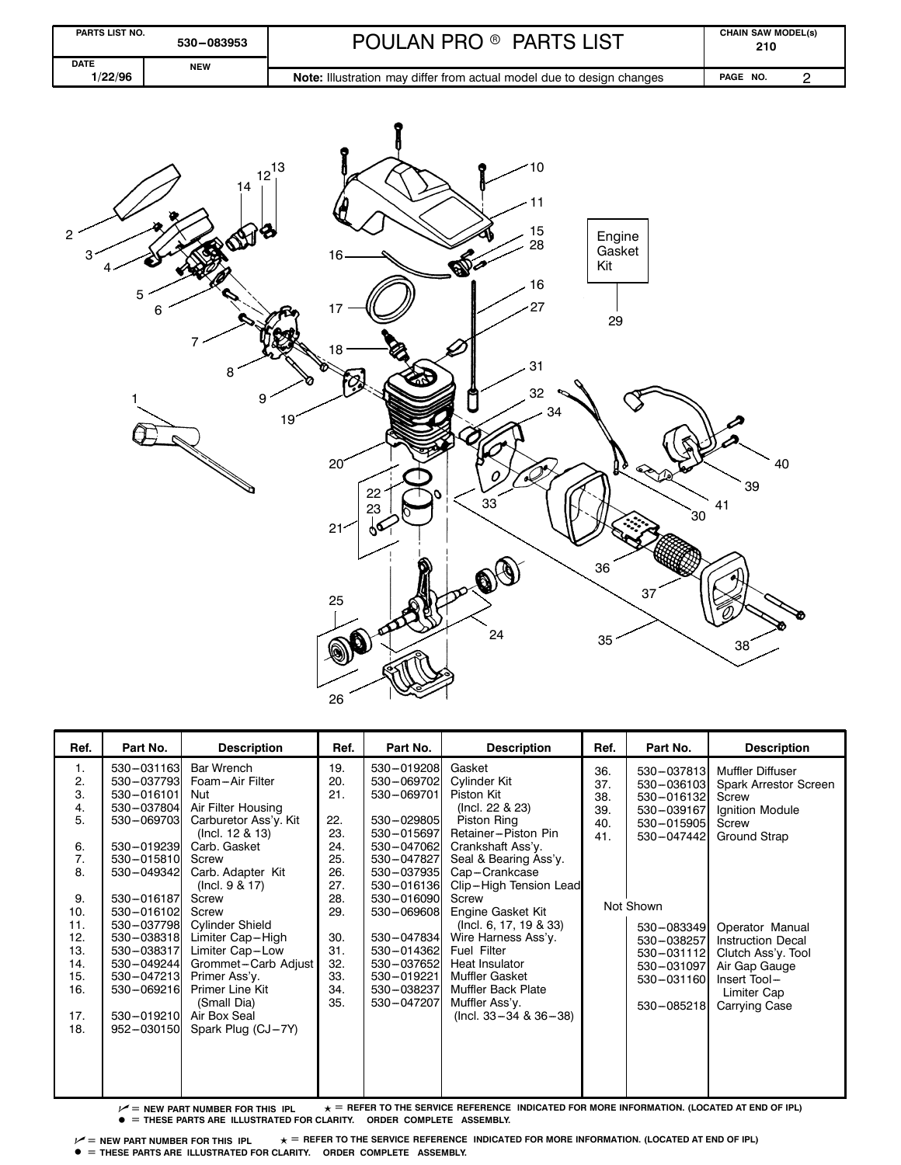

| Ref.     | Part No.                                                                                                                                                                | <b>Description</b>                       | Ref. | Part No.   | <b>Description</b>             | Ref. | Part No.   | <b>Description</b>       |
|----------|-------------------------------------------------------------------------------------------------------------------------------------------------------------------------|------------------------------------------|------|------------|--------------------------------|------|------------|--------------------------|
| 1.       | 530-031163                                                                                                                                                              | Bar Wrench                               | 19.  | 530-019208 | Gasket                         | 36.  | 530-037813 | <b>Muffler Diffuser</b>  |
| 2.       | 530-037793                                                                                                                                                              | Foam-Air Filter                          | 20.  | 530-069702 | Cylinder Kit                   | 37.  | 530-036103 | Spark Arrestor Screen    |
| 3.       | 530-016101                                                                                                                                                              | Nut                                      | 21.  | 530-069701 | Piston Kit                     | 38.  | 530-016132 | Screw                    |
| 4.<br>5. | 530-037804<br>530-069703                                                                                                                                                | Air Filter Housing                       | 22.  | 530-029805 | (Incl. 22 & 23)<br>Piston Ring | 39.  | 530-039167 | Ignition Module          |
|          |                                                                                                                                                                         | Carburetor Ass'y. Kit<br>(Incl. 12 & 13) | 23.  | 530-015697 | Retainer-Piston Pin            | 40.  | 530-015905 | Screw                    |
| 6.       | 530-019239                                                                                                                                                              | Carb. Gasket                             | 24.  | 530-047062 | Crankshaft Ass'y.              | 41.  | 530-047442 | Ground Strap             |
| 7.       | 530-015810                                                                                                                                                              | Screw                                    | 25.  | 530-047827 | Seal & Bearing Ass'y.          |      |            |                          |
| 8.       | 530-049342                                                                                                                                                              | Carb. Adapter Kit                        | 26.  | 530-037935 | Cap-Crankcase                  |      |            |                          |
|          |                                                                                                                                                                         | (Incl. $9 & 17$ )                        | 27.  | 530-016136 | Clip-High Tension Lead         |      |            |                          |
| 9.       | 530-016187                                                                                                                                                              | Screw                                    | 28.  | 530-016090 | Screw                          |      |            |                          |
| 10.      | 530-016102                                                                                                                                                              | Screw                                    | 29.  | 530-069608 | Engine Gasket Kit              |      | Not Shown  |                          |
| 11.      | 530-037798                                                                                                                                                              | <b>Cylinder Shield</b>                   |      |            | (Incl. 6, 17, 19 & 33)         |      | 530-083349 | Operator Manual          |
| 12.      | 530-038318                                                                                                                                                              | Limiter Cap-High                         | 30.  | 530-047834 | Wire Harness Ass'y.            |      | 530-038257 | <b>Instruction Decal</b> |
| 13.      | 530-038317                                                                                                                                                              | Limiter Cap-Low                          | 31.  | 530-014362 | <b>Fuel Filter</b>             |      | 530-031112 | Clutch Ass'y. Tool       |
| 14.      | 530-049244                                                                                                                                                              | Grommet-Carb Adjust                      | 32.  | 530-037652 | Heat Insulator                 |      | 530-031097 | Air Gap Gauge            |
| 15.      | 530-047213                                                                                                                                                              | Primer Ass'y.                            | 33.  | 530-019221 | Muffler Gasket                 |      | 530-031160 | Insert Tool-             |
| 16.      | 530-069216                                                                                                                                                              | Primer Line Kit                          | 34.  | 530-038237 | <b>Muffler Back Plate</b>      |      |            | Limiter Cap              |
|          |                                                                                                                                                                         | (Small Dia)                              | 35.  | 530-047207 | Muffler Ass'y.                 |      | 530-085218 | Carrying Case            |
| 17.      | 530-019210                                                                                                                                                              | Air Box Seal                             |      |            | (Incl. $33 - 34$ & $36 - 38$ ) |      |            |                          |
| 18.      | 952-030150                                                                                                                                                              | Spark Plug (CJ-7Y)                       |      |            |                                |      |            |                          |
|          |                                                                                                                                                                         |                                          |      |            |                                |      |            |                          |
|          |                                                                                                                                                                         |                                          |      |            |                                |      |            |                          |
|          |                                                                                                                                                                         |                                          |      |            |                                |      |            |                          |
|          |                                                                                                                                                                         |                                          |      |            |                                |      |            |                          |
|          | $\textcolor{red}{\textbf{+}}$ = REEER TO THE SERVICE REEERENCE. INDICATED FOR MORE INFORMATION. (LOCATED AT END OF IPL).<br>$\mathcal{A}$ - NEW DADT NUMBER EOD TUIS IN |                                          |      |            |                                |      |            |                          |

 $\nu$  = new part number for this <code>ipl</code>  $\star$  = <code>refer to</code> the service reference <code>indicated for more</code> information. (Located at end of ipl)  $\bullet$  = THESE PARTS ARE ILLUSTRATED FOR CLARITY. ORDER COMPLETE ASSEMBLY.

 $\nu^2$  = NEW PART NUMBER FOR THIS IPL  $\star$  = REFER TO THE SERVICE REFERENCE INDICATED FOR MORE INFORMATION. (LOCATED AT END OF IPL)  $\bullet$  = THESE PARTS ARE ILLUSTRATED FOR CLARITY. ORDER COMPLETE ASSEMBLY.